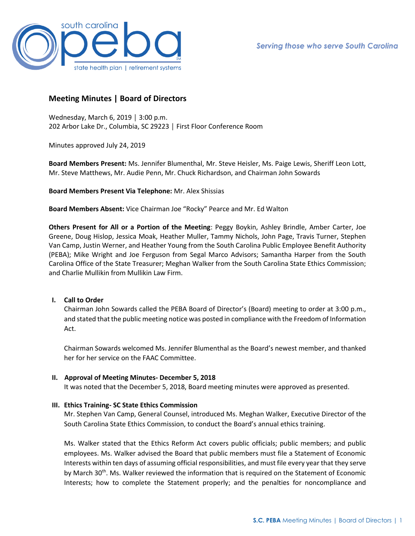

# **Meeting Minutes | Board of Directors**

Wednesday, March 6, 2019 │ 3:00 p.m. 202 Arbor Lake Dr., Columbia, SC 29223 │ First Floor Conference Room

Minutes approved July 24, 2019

**Board Members Present:** Ms. Jennifer Blumenthal, Mr. Steve Heisler, Ms. Paige Lewis, Sheriff Leon Lott, Mr. Steve Matthews, Mr. Audie Penn, Mr. Chuck Richardson, and Chairman John Sowards

**Board Members Present Via Telephone:** Mr. Alex Shissias

**Board Members Absent:** Vice Chairman Joe "Rocky" Pearce and Mr. Ed Walton

**Others Present for All or a Portion of the Meeting**: Peggy Boykin, Ashley Brindle, Amber Carter, Joe Greene, Doug Hislop, Jessica Moak, Heather Muller, Tammy Nichols, John Page, Travis Turner, Stephen Van Camp, Justin Werner, and Heather Young from the South Carolina Public Employee Benefit Authority (PEBA); Mike Wright and Joe Ferguson from Segal Marco Advisors; Samantha Harper from the South Carolina Office of the State Treasurer; Meghan Walker from the South Carolina State Ethics Commission; and Charlie Mullikin from Mullikin Law Firm.

# **I. Call to Order**

Chairman John Sowards called the PEBA Board of Director's (Board) meeting to order at 3:00 p.m., and stated that the public meeting notice was posted in compliance with the Freedom of Information Act.

Chairman Sowards welcomed Ms. Jennifer Blumenthal as the Board's newest member, and thanked her for her service on the FAAC Committee.

# **II. Approval of Meeting Minutes- December 5, 2018**

It was noted that the December 5, 2018, Board meeting minutes were approved as presented.

# **III. Ethics Training- SC State Ethics Commission**

Mr. Stephen Van Camp, General Counsel, introduced Ms. Meghan Walker, Executive Director of the South Carolina State Ethics Commission, to conduct the Board's annual ethics training.

Ms. Walker stated that the Ethics Reform Act covers public officials; public members; and public employees. Ms. Walker advised the Board that public members must file a Statement of Economic Interests within ten days of assuming official responsibilities, and must file every year that they serve by March 30<sup>th</sup>. Ms. Walker reviewed the information that is required on the Statement of Economic Interests; how to complete the Statement properly; and the penalties for noncompliance and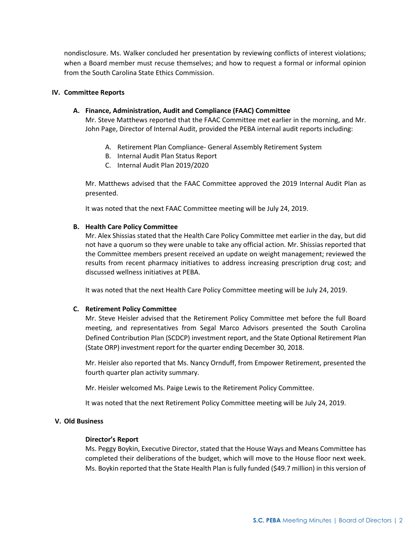nondisclosure. Ms. Walker concluded her presentation by reviewing conflicts of interest violations; when a Board member must recuse themselves; and how to request a formal or informal opinion from the South Carolina State Ethics Commission.

#### **IV. Committee Reports**

### **A. Finance, Administration, Audit and Compliance (FAAC) Committee**

Mr. Steve Matthews reported that the FAAC Committee met earlier in the morning, and Mr. John Page, Director of Internal Audit, provided the PEBA internal audit reports including:

- A. Retirement Plan Compliance- General Assembly Retirement System
- B. Internal Audit Plan Status Report
- C. Internal Audit Plan 2019/2020

Mr. Matthews advised that the FAAC Committee approved the 2019 Internal Audit Plan as presented.

It was noted that the next FAAC Committee meeting will be July 24, 2019.

#### **B. Health Care Policy Committee**

Mr. Alex Shissias stated that the Health Care Policy Committee met earlier in the day, but did not have a quorum so they were unable to take any official action. Mr. Shissias reported that the Committee members present received an update on weight management; reviewed the results from recent pharmacy initiatives to address increasing prescription drug cost; and discussed wellness initiatives at PEBA.

It was noted that the next Health Care Policy Committee meeting will be July 24, 2019.

### **C. Retirement Policy Committee**

Mr. Steve Heisler advised that the Retirement Policy Committee met before the full Board meeting, and representatives from Segal Marco Advisors presented the South Carolina Defined Contribution Plan (SCDCP) investment report, and the State Optional Retirement Plan (State ORP) investment report for the quarter ending December 30, 2018.

Mr. Heisler also reported that Ms. Nancy Ornduff, from Empower Retirement, presented the fourth quarter plan activity summary.

Mr. Heisler welcomed Ms. Paige Lewis to the Retirement Policy Committee.

It was noted that the next Retirement Policy Committee meeting will be July 24, 2019.

### **V. Old Business**

### **Director's Report**

Ms. Peggy Boykin, Executive Director, stated that the House Ways and Means Committee has completed their deliberations of the budget, which will move to the House floor next week. Ms. Boykin reported that the State Health Plan is fully funded (\$49.7 million) in this version of